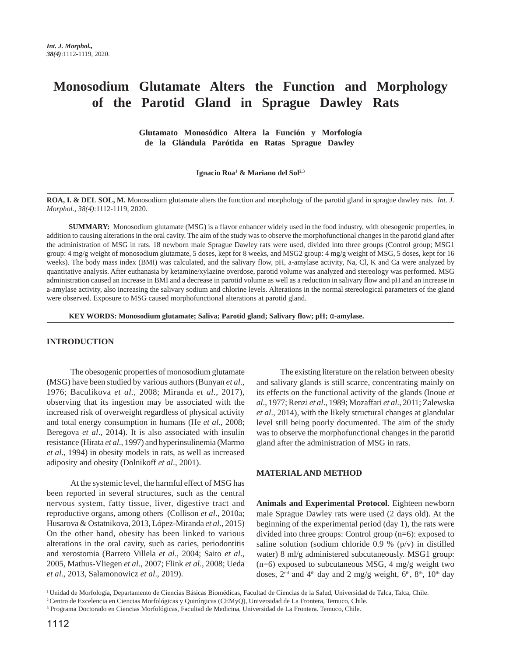# **Monosodium Glutamate Alters the Function and Morphology of the Parotid Gland in Sprague Dawley Rats**

 **Glutamato Monosódico Altera la Función y Morfología de la Glándula Parótida en Ratas Sprague Dawley**

**Ignacio Roa1 & Mariano del Sol2,3**

**ROA, I. & DEL SOL, M.** Monosodium glutamate alters the function and morphology of the parotid gland in sprague dawley rats. *Int. J. Morphol., 38(4)*:1112-1119, 2020.

**SUMMARY:** Monosodium glutamate (MSG) is a flavor enhancer widely used in the food industry, with obesogenic properties, in addition to causing alterations in the oral cavity. The aim of the study was to observe the morphofunctional changes in the parotid gland after the administration of MSG in rats. 18 newborn male Sprague Dawley rats were used, divided into three groups (Control group; MSG1 group: 4 mg/g weight of monosodium glutamate, 5 doses, kept for 8 weeks, and MSG2 group: 4 mg/g weight of MSG, 5 doses, kept for 16 weeks). The body mass index (BMI) was calculated, and the salivary flow, pH, a-amylase activity, Na, Cl, K and Ca were analyzed by quantitative analysis. After euthanasia by ketamine/xylazine overdose, parotid volume was analyzed and stereology was performed. MSG administration caused an increase in BMI and a decrease in parotid volume as well as a reduction in salivary flow and pH and an increase in a-amylase activity, also increasing the salivary sodium and chlorine levels. Alterations in the normal stereological parameters of the gland were observed. Exposure to MSG caused morphofunctional alterations at parotid gland.

 **KEY WORDS: Monosodium glutamate; Saliva; Parotid gland; Salivary flow; pH;** α**-amylase.**

### **INTRODUCTION**

The obesogenic properties of monosodium glutamate (MSG) have been studied by various authors (Bunyan *et al*., 1976; Baculikova *et al*., 2008; Miranda *et al*., 2017), observing that its ingestion may be associated with the increased risk of overweight regardless of physical activity and total energy consumption in humans (He *et al*., 2008; Beregova *et al*., 2014). It is also associated with insulin resistance (Hirata *et al*., 1997) and hyperinsulinemia (Marmo *et al*., 1994) in obesity models in rats, as well as increased adiposity and obesity (Dolnikoff *et al*., 2001).

At the systemic level, the harmful effect of MSG has been reported in several structures, such as the central nervous system, fatty tissue, liver, digestive tract and reproductive organs, among others (Collison *et al*., 2010a; Husarova & Ostatnikova, 2013, López-Miranda *et al*., 2015) On the other hand, obesity has been linked to various alterations in the oral cavity, such as caries, periodontitis and xerostomia (Barreto Villela *et al*., 2004; Saito *et al*., 2005, Mathus-Vliegen *et al*., 2007; Flink *et al*., 2008; Ueda *et al*., 2013, Salamonowicz *et al*., 2019).

The existing literature on the relation between obesity and salivary glands is still scarce, concentrating mainly on its effects on the functional activity of the glands (Inoue *et al*., 1977; Renzi *et al*., 1989; Mozaffari *et al*., 2011; Zalewska *et al*., 2014), with the likely structural changes at glandular level still being poorly documented. The aim of the study was to observe the morphofunctional changes in the parotid gland after the administration of MSG in rats.

#### **MATERIAL AND METHOD**

**Animals and Experimental Protocol**. Eighteen newborn male Sprague Dawley rats were used (2 days old). At the beginning of the experimental period (day 1), the rats were divided into three groups: Control group (n=6): exposed to saline solution (sodium chloride 0.9 % (p/v) in distilled water) 8 ml/g administered subcutaneously. MSG1 group:  $(n=6)$  exposed to subcutaneous MSG, 4 mg/g weight two doses,  $2<sup>nd</sup>$  and  $4<sup>th</sup>$  day and  $2$  mg/g weight,  $6<sup>th</sup>$ ,  $8<sup>th</sup>$ ,  $10<sup>th</sup>$  day

<sup>&</sup>lt;sup>1</sup> Unidad de Morfología, Departamento de Ciencias Básicas Biomédicas, Facultad de Ciencias de la Salud, Universidad de Talca, Talca, Chile.

<sup>2</sup> Centro de Excelencia en Ciencias Morfológicas y Quirúrgicas (CEMyQ), Universidad de La Frontera, Temuco, Chile.

<sup>3</sup> Programa Doctorado en Ciencias Morfológicas, Facultad de Medicina, Universidad de La Frontera. Temuco, Chile.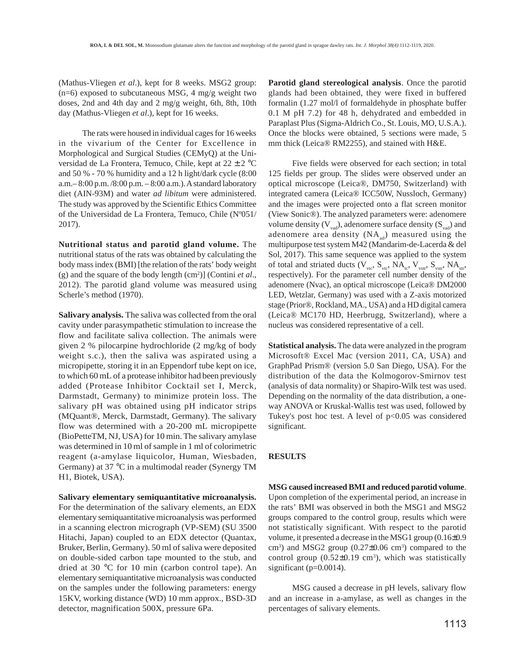(Mathus-Vliegen *et al*.), kept for 8 weeks. MSG2 group: (n=6) exposed to subcutaneous MSG, 4 mg/g weight two doses, 2nd and 4th day and 2 mg/g weight, 6th, 8th, 10th day (Mathus-Vliegen *et al*.), kept for 16 weeks.

The rats were housed in individual cages for 16 weeks in the vivarium of the Center for Excellence in Morphological and Surgical Studies (CEMyQ) at the Universidad de La Frontera, Temuco, Chile, kept at 22 ± 2 °C and 50 % - 70 % humidity and a 12 h light/dark cycle (8:00 a.m.– 8:00 p.m. /8:00 p.m. – 8:00 a.m.). A standard laboratory diet (AIN-93M) and water *ad libitum* were administered. The study was approved by the Scientific Ethics Committee of the Universidad de La Frontera, Temuco, Chile (Nº051/ 2017).

**Nutritional status and parotid gland volume.** The nutritional status of the rats was obtained by calculating the body mass index (BMI) [the relation of the rats' body weight (g) and the square of the body length (cm2 )] (Contini *et al*., 2012). The parotid gland volume was measured using Scherle's method (1970).

**Salivary analysis.** The saliva was collected from the oral cavity under parasympathetic stimulation to increase the flow and facilitate saliva collection. The animals were given 2 % pilocarpine hydrochloride (2 mg/kg of body weight s.c.), then the saliva was aspirated using a micropipette, storing it in an Eppendorf tube kept on ice, to which 60 mL of a protease inhibitor had been previously added (Protease Inhibitor Cocktail set I, Merck, Darmstadt, Germany) to minimize protein loss. The salivary pH was obtained using pH indicator strips (MQuant®, Merck, Darmstadt, Germany). The salivary flow was determined with a 20-200 mL micropipette (BioPetteTM, NJ, USA) for 10 min. The salivary amylase was determined in 10 ml of sample in 1 ml of colorimetric reagent (a-amylase liquicolor, Human, Wiesbaden, Germany) at 37 °C in a multimodal reader (Synergy TM H1, Biotek, USA).

**Salivary elementary semiquantitative microanalysis.** For the determination of the salivary elements, an EDX elementary semiquantitative microanalysis was performed in a scanning electron micrograph (VP-SEM) (SU 3500 Hitachi, Japan) coupled to an EDX detector (Quantax, Bruker, Berlin, Germany). 50 ml of saliva were deposited on double-sided carbon tape mounted to the stub, and dried at 30 °C for 10 min (carbon control tape). An elementary semiquantitative microanalysis was conducted on the samples under the following parameters: energy 15KV, working distance (WD) 10 mm approx., BSD-3D detector, magnification 500X, pressure 6Pa.

**Parotid gland stereological analysis**. Once the parotid glands had been obtained, they were fixed in buffered formalin (1.27 mol/l of formaldehyde in phosphate buffer 0.1 M pH 7.2) for 48 h, dehydrated and embedded in Paraplast Plus (Sigma-Aldrich Co., St. Louis, MO, U.S.A.). Once the blocks were obtained, 5 sections were made, 5 mm thick (Leica® RM2255), and stained with H&E.

Five fields were observed for each section; in total 125 fields per group. The slides were observed under an optical microscope (Leica®, DM750, Switzerland) with integrated camera (Leica® ICC50W, Nussloch, Germany) and the images were projected onto a flat screen monitor (View Sonic®). The analyzed parameters were: adenomere volume density  $(V_{\text{vad}})$ , adenomere surface density  $(S_{\text{vad}})$  and adenomere area density  $(NA_{ad})$  measured using the multipurpose test system M42 (Mandarim-de-Lacerda & del Sol, 2017). This same sequence was applied to the system of total and striated ducts  $(V_{\text{vtc}}, S_{\text{vtc}}, NA_{\text{tc}}, V_{\text{vstr}}, S_{\text{vstr}}, NA_{\text{str}})$ respectively). For the parameter cell number density of the adenomere (Nvac), an optical microscope (Leica® DM2000 LED, Wetzlar, Germany) was used with a Z-axis motorized stage (Prior®, Rockland, MA., USA) and a HD digital camera (Leica® MC170 HD, Heerbrugg, Switzerland), where a nucleus was considered representative of a cell.

**Statistical analysis.** The data were analyzed in the program Microsoft® Excel Mac (version 2011, CA, USA) and GraphPad Prism® (version 5.0 San Diego, USA). For the distribution of the data the Kolmogorov-Smirnov test (analysis of data normality) or Shapiro-Wilk test was used. Depending on the normality of the data distribution, a oneway ANOVA or Kruskal-Wallis test was used, followed by Tukey's post hoc test. A level of  $p<0.05$  was considered significant.

## **RESULTS**

**MSG caused increased BMI and reduced parotid volume**. Upon completion of the experimental period, an increase in the rats' BMI was observed in both the MSG1 and MSG2 groups compared to the control group, results which were not statistically significant. With respect to the parotid volume, it presented a decrease in the MSG1 group (0.16±0.9  $\text{cm}^3$ ) and MSG2 group (0.27 $\pm$ 0.06 cm<sup>3</sup>) compared to the control group  $(0.52 \pm 0.19 \text{ cm}^3)$ , which was statistically significant (p=0.0014).

MSG caused a decrease in pH levels, salivary flow and an increase in a-amylase, as well as changes in the percentages of salivary elements.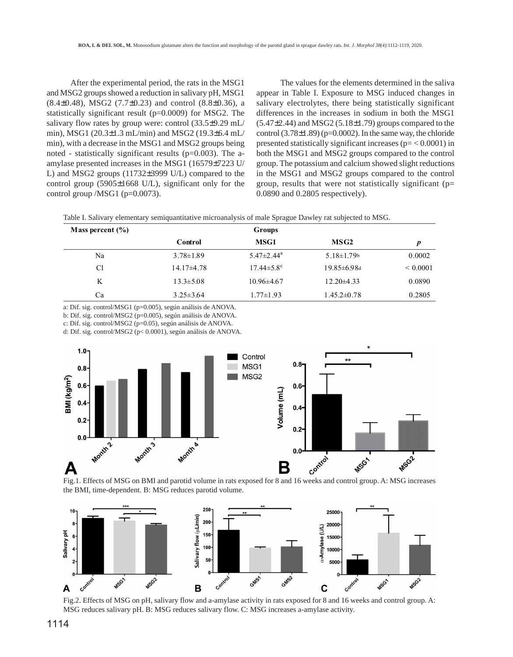After the experimental period, the rats in the MSG1 and MSG2 groups showed a reduction in salivary pH, MSG1  $(8.4\pm0.48)$ , MSG2  $(7.7\pm0.23)$  and control  $(8.8\pm0.36)$ , a statistically significant result (p=0.0009) for MSG2. The salivary flow rates by group were: control (33.5±9.29 mL/ min), MSG1 (20.3±1.3 mL/min) and MSG2 (19.3±6.4 mL/ min), with a decrease in the MSG1 and MSG2 groups being noted - statistically significant results ( $p=0.003$ ). The aamylase presented increases in the MSG1 (16579±7223 U/ L) and MSG2 groups (11732±3999 U/L) compared to the control group (5905±1668 U/L), significant only for the control group /MSG1 (p=0.0073).

The values for the elements determined in the saliva appear in Table I. Exposure to MSG induced changes in salivary electrolytes, there being statistically significant differences in the increases in sodium in both the MSG1  $(5.47\pm2.44)$  and MSG2  $(5.18\pm1.79)$  groups compared to the control  $(3.78\pm1.89)$  (p=0.0002). In the same way, the chloride presented statistically significant increases ( $p = < 0.0001$ ) in both the MSG1 and MSG2 groups compared to the control group. The potassium and calcium showed slight reductions in the MSG1 and MSG2 groups compared to the control group, results that were not statistically significant (p= 0.0890 and 0.2805 respectively).

|  |  |  | Table I. Salivary elementary semiquantitative microanalysis of male Sprague Dawley rat subjected to MSG. |
|--|--|--|----------------------------------------------------------------------------------------------------------|
|  |  |  |                                                                                                          |

| Mass percent $(\% )$ |                 | Groups                       |                    |              |
|----------------------|-----------------|------------------------------|--------------------|--------------|
|                      | Control         | <b>MSG1</b>                  | MSG <sub>2</sub>   | p            |
| Na                   | $3.78 \pm 1.89$ | $5.47 \pm 2.44$ <sup>a</sup> | $5.18 \pm 1.79$    | 0.0002       |
| Cl                   | $14.17\pm4.78$  | $17.44 \pm 5.8$ <sup>c</sup> | $19.85 \pm 6.98$ d | ${}< 0.0001$ |
| K                    | $13.3 \pm 5.08$ | $10.96\pm4.67$               | $12.20\pm4.33$     | 0.0890       |
| Ca                   | $3.25 \pm 3.64$ | $1.77 \pm 1.93$              | $1.45.2 \pm 0.78$  | 0.2805       |

a: Dif. sig. control/MSG1 (p=0.005), según análisis de ANOVA.

b: Dif. sig. control/MSG2 (p=0.005), según análisis de ANOVA.

c: Dif. sig. control/MSG2 (p=0.05), según análisis de ANOVA.

d: Dif. sig. control/MSG2 (p< 0.0001), según análisis de ANOVA.



the BMI, time-dependent. B: MSG reduces parotid volume.



Fig.2. Effects of MSG on pH, salivary flow and a-amylase activity in rats exposed for 8 and 16 weeks and control group. A: MSG reduces salivary pH. B: MSG reduces salivary flow. C: MSG increases a-amylase activity.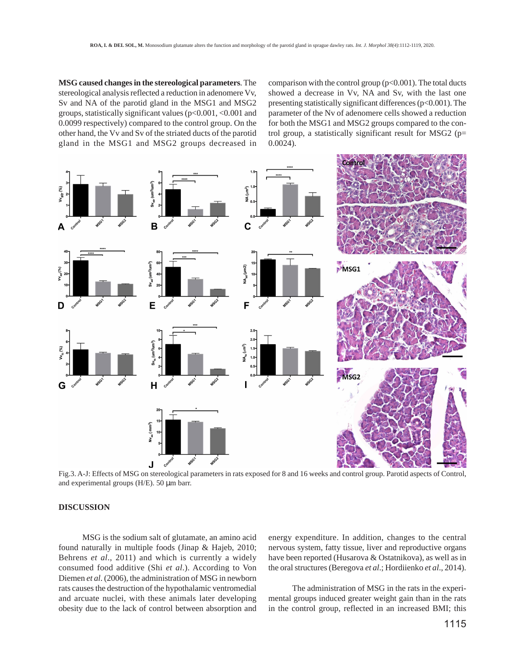**MSG caused changes in the stereological parameters**. The stereological analysis reflected a reduction in adenomere Vv, Sv and NA of the parotid gland in the MSG1 and MSG2 groups, statistically significant values (p<0.001, <0.001 and 0.0099 respectively) compared to the control group. On the other hand, the Vv and Sv of the striated ducts of the parotid gland in the MSG1 and MSG2 groups decreased in

comparison with the control group  $(p<0.001)$ . The total ducts showed a decrease in Vv, NA and Sv, with the last one presenting statistically significant differences (p<0.001). The parameter of the Nv of adenomere cells showed a reduction for both the MSG1 and MSG2 groups compared to the control group, a statistically significant result for MSG2 (p= 0.0024).



Fig.3. A-J: Effects of MSG on stereological parameters in rats exposed for 8 and 16 weeks and control group. Parotid aspects of Control, and experimental groups (H/E). 50 µm barr.

## **DISCUSSION**

MSG is the sodium salt of glutamate, an amino acid found naturally in multiple foods (Jinap & Hajeb, 2010; Behrens *et al*., 2011) and which is currently a widely consumed food additive (Shi *et al*.). According to Von Diemen *et al*. (2006), the administration of MSG in newborn rats causes the destruction of the hypothalamic ventromedial and arcuate nuclei, with these animals later developing obesity due to the lack of control between absorption and

energy expenditure. In addition, changes to the central nervous system, fatty tissue, liver and reproductive organs have been reported (Husarova & Ostatnikova), as well as in the oral structures (Beregova *et al*.; Hordiienko *et al*., 2014).

The administration of MSG in the rats in the experimental groups induced greater weight gain than in the rats in the control group, reflected in an increased BMI; this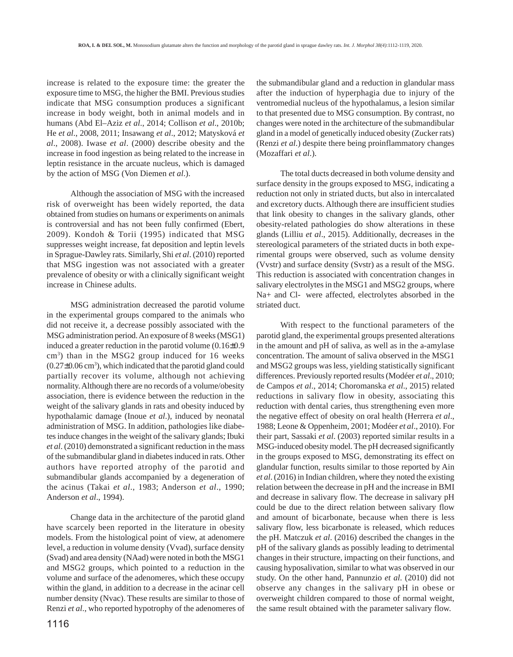increase is related to the exposure time: the greater the exposure time to MSG, the higher the BMI. Previous studies indicate that MSG consumption produces a significant increase in body weight, both in animal models and in humans (Abd El–Aziz *et al*., 2014; Collison *et al*., 2010b; He *et al*., 2008, 2011; Insawang *et al*., 2012; Matysková *et al*., 2008). Iwase *et al*. (2000) describe obesity and the increase in food ingestion as being related to the increase in leptin resistance in the arcuate nucleus, which is damaged by the action of MSG (Von Diemen *et al*.).

Although the association of MSG with the increased risk of overweight has been widely reported, the data obtained from studies on humans or experiments on animals is controversial and has not been fully confirmed (Ebert, 2009). Kondoh & Torii (1995) indicated that MSG suppresses weight increase, fat deposition and leptin levels in Sprague-Dawley rats. Similarly, Shi *et al*. (2010) reported that MSG ingestion was not associated with a greater prevalence of obesity or with a clinically significant weight increase in Chinese adults.

MSG administration decreased the parotid volume in the experimental groups compared to the animals who did not receive it, a decrease possibly associated with the MSG administration period. An exposure of 8 weeks (MSG1) induced a greater reduction in the parotid volume (0.16±0.9 cm<sup>3</sup>) than in the MSG2 group induced for 16 weeks  $(0.27\pm0.06 \text{ cm}^3)$ , which indicated that the parotid gland could partially recover its volume, although not achieving normality. Although there are no records of a volume/obesity association, there is evidence between the reduction in the weight of the salivary glands in rats and obesity induced by hypothalamic damage (Inoue *et al*.), induced by neonatal administration of MSG. In addition, pathologies like diabetes induce changes in the weight of the salivary glands; Ibuki *et al*. (2010) demonstrated a significant reduction in the mass of the submandibular gland in diabetes induced in rats. Other authors have reported atrophy of the parotid and submandibular glands accompanied by a degeneration of the acinus (Takai *et al*., 1983; Anderson *et al*., 1990; Anderson *et al*., 1994).

Change data in the architecture of the parotid gland have scarcely been reported in the literature in obesity models. From the histological point of view, at adenomere level, a reduction in volume density (Vvad), surface density (Svad) and area density (NAad) were noted in both the MSG1 and MSG2 groups, which pointed to a reduction in the volume and surface of the adenomeres, which these occupy within the gland, in addition to a decrease in the acinar cell number density (Nvac). These results are similar to those of Renzi *et al*., who reported hypotrophy of the adenomeres of the submandibular gland and a reduction in glandular mass after the induction of hyperphagia due to injury of the ventromedial nucleus of the hypothalamus, a lesion similar to that presented due to MSG consumption. By contrast, no changes were noted in the architecture of the submandibular gland in a model of genetically induced obesity (Zucker rats) (Renzi *et al*.) despite there being proinflammatory changes (Mozaffari *et al*.).

The total ducts decreased in both volume density and surface density in the groups exposed to MSG, indicating a reduction not only in striated ducts, but also in intercalated and excretory ducts. Although there are insufficient studies that link obesity to changes in the salivary glands, other obesity-related pathologies do show alterations in these glands (Lilliu *et al*., 2015). Additionally, decreases in the stereological parameters of the striated ducts in both experimental groups were observed, such as volume density (Vvstr) and surface density (Svstr) as a result of the MSG. This reduction is associated with concentration changes in salivary electrolytes in the MSG1 and MSG2 groups, where Na+ and Cl- were affected, electrolytes absorbed in the striated duct.

With respect to the functional parameters of the parotid gland, the experimental groups presented alterations in the amount and pH of saliva, as well as in the a-amylase concentration. The amount of saliva observed in the MSG1 and MSG2 groups was less, yielding statistically significant differences. Previously reported results (Modéer *et al*., 2010; de Campos *et al*., 2014; Choromanska *et al*., 2015) related reductions in salivary flow in obesity, associating this reduction with dental caries, thus strengthening even more the negative effect of obesity on oral health (Herrera *et al*., 1988; Leone & Oppenheim, 2001; Modéer *et al*., 2010). For their part, Sassaki *et al*. (2003) reported similar results in a MSG-induced obesity model. The pH decreased significantly in the groups exposed to MSG, demonstrating its effect on glandular function, results similar to those reported by Ain *et al*. (2016) in Indian children, where they noted the existing relation between the decrease in pH and the increase in BMI and decrease in salivary flow. The decrease in salivary pH could be due to the direct relation between salivary flow and amount of bicarbonate, because when there is less salivary flow, less bicarbonate is released, which reduces the pH. Matczuk *et al*. (2016) described the changes in the pH of the salivary glands as possibly leading to detrimental changes in their structure, impacting on their functions, and causing hyposalivation, similar to what was observed in our study. On the other hand, Pannunzio *et al*. (2010) did not observe any changes in the salivary pH in obese or overweight children compared to those of normal weight, the same result obtained with the parameter salivary flow.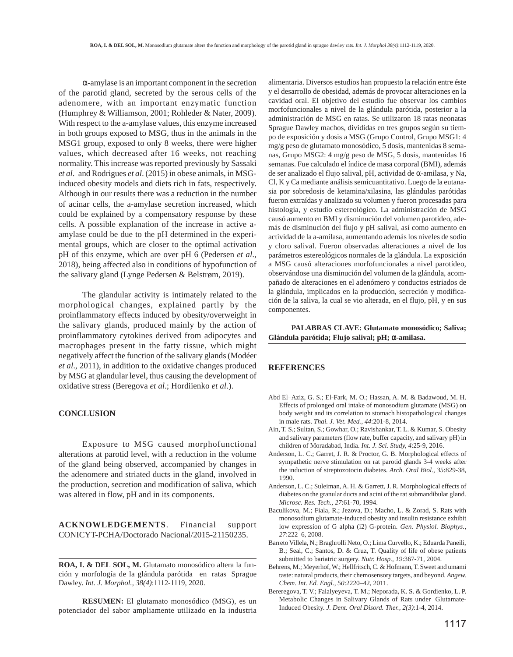α-amylase is an important component in the secretion of the parotid gland, secreted by the serous cells of the adenomere, with an important enzymatic function (Humphrey & Williamson, 2001; Rohleder & Nater, 2009). With respect to the a-amylase values, this enzyme increased in both groups exposed to MSG, thus in the animals in the MSG1 group, exposed to only 8 weeks, there were higher values, which decreased after 16 weeks, not reaching normality. This increase was reported previously by Sassaki *et al*. and Rodrigues *et al*. (2015) in obese animals, in MSGinduced obesity models and diets rich in fats, respectively. Although in our results there was a reduction in the number of acinar cells, the a-amylase secretion increased, which could be explained by a compensatory response by these cells. A possible explanation of the increase in active aamylase could be due to the pH determined in the experimental groups, which are closer to the optimal activation pH of this enzyme, which are over pH 6 (Pedersen *et al*., 2018), being affected also in conditions of hypofunction of the salivary gland (Lynge Pedersen & Belstrøm, 2019).

The glandular activity is intimately related to the morphological changes, explained partly by the proinflammatory effects induced by obesity/overweight in the salivary glands, produced mainly by the action of proinflammatory cytokines derived from adipocytes and macrophages present in the fatty tissue, which might negatively affect the function of the salivary glands (Modéer *et al*., 2011), in addition to the oxidative changes produced by MSG at glandular level, thus causing the development of oxidative stress (Beregova *et al*.; Hordiienko *et al*.).

#### **CONCLUSION**

Exposure to MSG caused morphofunctional alterations at parotid level, with a reduction in the volume of the gland being observed, accompanied by changes in the adenomere and striated ducts in the gland, involved in the production, secretion and modification of saliva, which was altered in flow, pH and in its components.

**ACKNOWLEDGEMENTS**. Financial support CONICYT-PCHA/Doctorado Nacional/2015-21150235.

**ROA, I. & DEL SOL, M.** Glutamato monosódico altera la función y morfología de la glándula parótida en ratas Sprague Dawley. *Int. J. Morphol., 38(4)*:1112-1119, 2020.

**RESUMEN:** El glutamato monosódico (MSG), es un potenciador del sabor ampliamente utilizado en la industria alimentaria. Diversos estudios han propuesto la relación entre éste y el desarrollo de obesidad, además de provocar alteraciones en la cavidad oral. El objetivo del estudio fue observar los cambios morfofuncionales a nivel de la glándula parótida, posterior a la administración de MSG en ratas. Se utilizaron 18 ratas neonatas Sprague Dawley machos, divididas en tres grupos según su tiempo de exposición y dosis a MSG (Grupo Control, Grupo MSG1: 4 mg/g peso de glutamato monosódico, 5 dosis, mantenidas 8 semanas, Grupo MSG2: 4 mg/g peso de MSG, 5 dosis, mantenidas 16 semanas. Fue calculado el índice de masa corporal (BMI), además de ser analizado el flujo salival, pH, actividad de α-amilasa, y Na, Cl, K y Ca mediante análisis semicuantitativo. Luego de la eutanasia por sobredosis de ketamina/xilasina, las glándulas parótidas fueron extraídas y analizado su volumen y fueron procesadas para histología, y estudio estereológico. La administración de MSG causó aumento en BMI y disminución del volumen parotídeo, además de disminución del flujo y pH salival, así como aumento en actividad de la a-amilasa, aumentando además los niveles de sodio y cloro salival. Fueron observadas alteraciones a nivel de los parámetros estereológicos normales de la glándula. La exposición a MSG causó alteraciones morfofuncionales a nivel parotídeo, observándose una disminución del volumen de la glándula, acompañado de alteraciones en el adenómero y conductos estriados de la glándula, implicados en la producción, secreción y modificación de la saliva, la cual se vio alterada, en el flujo, pH, y en sus componentes.

 **PALABRAS CLAVE: Glutamato monosódico; Saliva; Glándula parótida; Flujo salival; pH;** α**-amilasa.**

#### **REFERENCES**

- Abd El–Aziz, G. S.; El-Fark, M. O.; Hassan, A. M. & Badawoud, M. H. Effects of prolonged oral intake of monosodium glutamate (MSG) on body weight and its correlation to stomach histopathological changes in male rats. *Thai. J. Vet. Med., 44*:201-8, 2014.
- Ain, T. S.; Sultan, S.; Gowhar, O.; Ravishankar, T. L. & Kumar, S. Obesity and salivary parameters (flow rate, buffer capacity, and salivary pH) in children of Moradabad, India. *Int. J. Sci. Study, 4*:25-9, 2016.
- Anderson, L. C.; Garret, J. R. & Proctor, G. B. Morphological effects of sympathetic nerve stimulation on rat parotid glands 3-4 weeks after the induction of streptozotocin diabetes. *Arch. Oral Biol., 35*:829-38, 1990.
- Anderson, L. C.; Suleiman, A. H. & Garrett, J. R. Morphological effects of diabetes on the granular ducts and acini of the rat submandibular gland. *Microsc. Res. Tech., 27*:61-70, 1994.
- Baculikova, M.; Fiala, R.; Jezova, D.; Macho, L. & Zorad, S. Rats with monosodium glutamate-induced obesity and insulin resistance exhibit low expression of G alpha (i2) G-protein. *Gen. Physiol. Biophys., 27*:222–6, 2008.
- Barreto Villela, N.; Braghrolli Neto, O.; Lima Curvello, K.; Eduarda Paneili, B.; Seal, C.; Santos, D. & Cruz, T. Quality of life of obese patients submitted to bariatric surgery. *Nutr. Hosp., 19*:367-71, 2004.
- Behrens, M.; Meyerhof, W.; Hellfritsch, C. & Hofmann, T. Sweet and umami taste: natural products, their chemosensory targets, and beyond. *Angew. Chem. Int. Ed. Engl., 50*:2220–42, 2011.
- Bereregova, T. V.; Falalyeyeva, T. M.; Neporada, K. S. & Gordienko, L. P. Metabolic Changes in Salivary Glands of Rats under Glutamate-Induced Obesity. *J. Dent. Oral Disord. Ther., 2(3)*:1-4, 2014.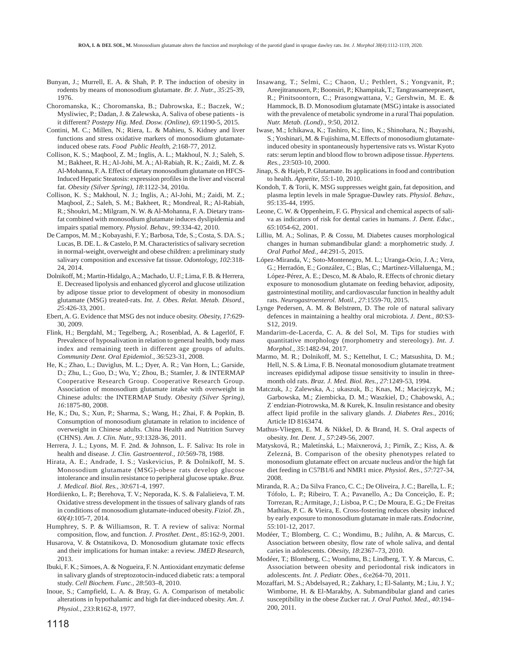- Bunyan, J.; Murrell, E. A. & Shah, P. P. The induction of obesity in rodents by means of monosodium glutamate. *Br. J. Nutr., 35*:25-39, 1976.
- Choromanska, K.; Choromanska, B.; Dabrowska, E.; Baczek, W.; Mysliwiec, P.; Dadan, J. & Zalewska, A. Saliva of obese patients - is it different? *Postepy Hig. Med. Dosw. (Online), 69*:1190-5, 2015.
- Contini, M. C.; Millen, N.; Riera, L. & Mahieu, S. Kidney and liver functions and stress oxidative markers of monosodium glutamateinduced obese rats. *Food Public Health, 2*:168-77, 2012.
- Collison, K. S.; Maqbool, Z. M.; Inglis, A. L.; Makhoul, N. J.; Saleh, S. M.; Bakheet, R. H.; Al-Johi, M. A.; Al-Rabiah, R. K.; Zaidi, M. Z. & Al-Mohanna, F. A. Effect of dietary monosodium glutamate on HFCS-Induced Hepatic Steatosis: expression profiles in the liver and visceral fat. *Obesity (Silver Spring), 18*:1122-34, 2010a.
- Collison, K. S.; Makhoul, N. J.; Inglis, A.; Al-Johi, M.; Zaidi, M. Z.; Maqbool, Z.; Saleh, S. M.; Bakheet, R.; Mondreal, R.; Al-Rabiah, R.; Shoukri, M.; Milgram, N. W. & Al-Mohanna, F. A. Dietary transfat combined with monosodium glutamate induces dyslipidemia and impairs spatial memory. *Physiol. Behav., 99*:334-42, 2010.
- De Campos, M. M.; Kobayashi, F. Y.; Barbosa, Tde, S.; Costa, S. DA. S.; Lucas, B. DE. L. & Castelo, P. M. Characteristics of salivary secretion in normal-weight, overweight and obese children: a preliminary study salivary composition and excessive fat tissue. *Odontology, 102*:318- 24, 2014.
- Dolnikoff, M.; Martin-Hidalgo, A.; Machado, U. F.; Lima, F. B. & Herrera, E. Decreased lipolysis and enhanced glycerol and glucose utilization by adipose tissue prior to development of obesity in monosodium glutamate (MSG) treated-rats. *Int. J. Obes. Relat. Metab. Disord., 25*:426-33, 2001.
- Ebert, A. G. Evidence that MSG des not induce obesity. *Obesity, 17*:629- 30, 2009.
- Flink, H.; Bergdahl, M.; Tegelberg, A.; Rosenblad, A. & Lagerlöf, F. Prevalence of hyposalivation in relation to general health, body mass index and remaining teeth in different age groups of adults. *Community Dent. Oral Epidemiol., 36*:523-31, 2008.
- He, K.; Zhao, L.; Daviglus, M. L.; Dyer, A. R.; Van Horn, L.; Garside, D.; Zhu, L.; Guo, D.; Wu, Y.; Zhou, B.; Stamler, J. & INTERMAP Cooperative Research Group. Cooperative Research Group. Association of monosodium glutamate intake with overweight in Chinese adults: the INTERMAP Study. *Obesity (Silver Spring), 16*:1875-80, 2008.
- He, K.; Du, S.; Xun, P.; Sharma, S.; Wang, H.; Zhai, F. & Popkin, B. Consumption of monosodium glutamate in relation to incidence of overweight in Chinese adults. China Health and Nutrition Survey (CHNS). *Am. J. Clin. Nutr., 93*:1328-36, 2011.
- Herrera, J. L.; Lyons, M. F. 2nd. & Johnson, L. F. Saliva: Its role in health and disease. *J. Clin. Gastroenterol., 10*:569-78, 1988.
- Hirata, A. E.; Andrade, I. S.; Vaskevicius, P. & Dolnikoff, M. S. Monosodium glutamate (MSG)-obese rats develop glucose intolerance and insulin resistance to peripheral glucose uptake. *Braz. J. Medical. Biol. Res., 30*:671-4, 1997.
- Hordiienko, L. P.; Berehova, T. V.; Neporada, K. S. & Falalieieva, T. M. Oxidative stress development in the tissues of salivary glands of rats in conditions of monosodium glutamate-induced obesity. *Fiziol. Zh., 60(4)*:105-7, 2014.
- Humphrey, S. P. & Williamson, R. T. A review of saliva: Normal composition, flow, and function. *J. Prosthet. Dent., 85*:162-9, 2001.
- Husarova, V. & Ostatnikova, D. Monosodium glutamate toxic effects and their implications for human intake: a review. *JMED Research*, 2013.
- Ibuki, F. K.; Simoes, A. & Nogueira, F. N. Antioxidant enzymatic defense in salivary glands of streptozotocin-induced diabetic rats: a temporal study. *Cell Biochem. Func., 28*:503–8, 2010.
- Inoue, S.; Campfield, L. A. & Bray, G. A. Comparison of metabolic alterations in hypothalamic and high fat diet-induced obesity. *Am. J. Physiol., 233*:R162-8, 1977.
- Insawang, T.; Selmi, C.; Chaon, U.; Pethlert, S.; Yongvanit, P.; Areejitranusorn, P.; Boonsiri, P.; Khampitak, T.; Tangrassameeprasert, R.; Pinitsoontorn, C.; Prasongwattana, V.; Gershwin, M. E. & Hammock, B. D. Monosodium glutamate (MSG) intake is associated with the prevalence of metabolic syndrome in a rural Thai population. *Nutr. Metab. (Lond)., 9*:50, 2012.
- Iwase, M.; Ichikawa, K.; Tashiro, K.; Iino, K.; Shinohara, N.; Ibayashi, S.; Yoshinari, M. & Fujishima, M. Effects of monosodium glutamateinduced obesity in spontaneously hypertensive rats vs. Wistar Kyoto rats: serum leptin and blood flow to brown adipose tissue. *Hypertens. Res., 23*:503-10, 2000.
- Jinap, S. & Hajeb, P. Glutamate. Its applications in food and contribution to health. *Appetite, 55*:1-10, 2010.
- Kondoh, T. & Torii, K. MSG suppresses weight gain, fat deposition, and plasma leptin levels in male Sprague-Dawley rats. *Physiol. Behav., 95*:135-44, 1995.
- Leone, C. W. & Oppenheim, F. G. Physical and chemical aspects of saliva as indicators of risk for dental caries in humans. *J. Dent. Educ., 65*:1054-62, 2001.
- Lilliu, M. A.; Solinas, P. & Cossu, M. Diabetes causes morphological changes in human submandibular gland: a morphometric study. *J. Oral Pathol Med., 44*:291-5, 2015.
- López-Miranda, V.; Soto-Montenegro, M. L.; Uranga-Ocio, J. A.; Vera, G.; Herradón, E.; González, C.; Blas, C.; Martínez-Villaluenga, M.; López-Pérez, A. E.; Desco, M. & Abalo, R. Effects of chronic dietary exposure to monosodium glutamate on feeding behavior, adiposity, gastrointestinal motility, and cardiovascular function in healthy adult rats. *Neurogastroenterol. Motil., 27*:1559-70, 2015.
- Lynge Pedersen, A. M. & Belstrøm, D. The role of natural salivary defences in maintaining a healthy oral microbiota. *J. Dent., 80*:S3- S12, 2019.
- Mandarim-de-Lacerda, C. A. & del Sol, M. Tips for studies with quantitative morphology (morphometry and stereology). *Int. J. Morphol., 35*:1482-94, 2017.
- Marmo, M. R.; Dolnikoff, M. S.; Kettelhut, I. C.; Matsushita, D. M.; Hell, N. S. & Lima, F. B. Neonatal monosodium glutamate treatment increases epididymal adipose tissue sensitivity to insulin in threemonth old rats. *Braz. J. Med. Biol. Res., 27*:1249-53, 1994.
- Matczuk, J.; Zalewska, A.; ukaszuk, B.; Knas, M.; Maciejczyk, M.; Garbowska, M.; Ziembicka, D. M.; Waszkiel, D.; Chabowski, A.; Z˙endzian-Piotrowska, M. & Kurek, K. Insulin resistance and obesity affect lipid profile in the salivary glands. *J. Diabetes Res.,* 2016; Article ID 8163474.
- Mathus-Vliegen, E. M. & Nikkel, D. & Brand, H. S. Oral aspects of obesity. *Int. Dent. J., 57*:249-56, 2007.
- Matysková, R.; Maletínská, L.; Maixnerová, J.; Pirník, Z.; Kiss, A. & Zelezná, B. Comparison of the obesity phenotypes related to monosodium glutamate effect on arcuate nucleus and/or the high fat diet feeding in C57B1/6 and NMR1 mice. *Physiol. Res., 57*:727-34, 2008.
- Miranda, R. A.; Da Silva Franco, C. C.; De Oliveira, J. C.; Barella, L. F.; Tófolo, L. P.; Ribeiro, T. A.; Pavanello, A.; Da Conceição, E. P.; Torrezan, R.; Armitage, J.; Lisboa, P. C.; De Moura, E. G.; De Freitas Mathias, P. C. & Vieira, E. Cross-fostering reduces obesity induced by early exposure to monosodium glutamate in male rats. *Endocrine, 55*:101-12, 2017.
- Modéer, T.; Blomberg, C. C.; Wondimu, B.; Julihn, A. & Marcus, C. Association between obesity, flow rate of whole saliva, and dental caries in adolescents. *Obesity, 18*:2367–73, 2010.
- Modéer, T.; Blomberg, C.; Wondimu, B.; Lindberg, T. Y. & Marcus, C. Association between obesity and periodontal risk indicators in adolescents. *Int. J. Pediatr. Obes., 6*:e264-70, 2011.
- Mozaffari, M. S.; Abdelsayed, R.; Zakhary, I.; El-Salanty, M.; Liu, J. Y.; Wimborne, H. & El-Marakby, A. Submandibular gland and caries susceptibility in the obese Zucker rat. *J. Oral Pathol. Med., 40*:194– 200, 2011.